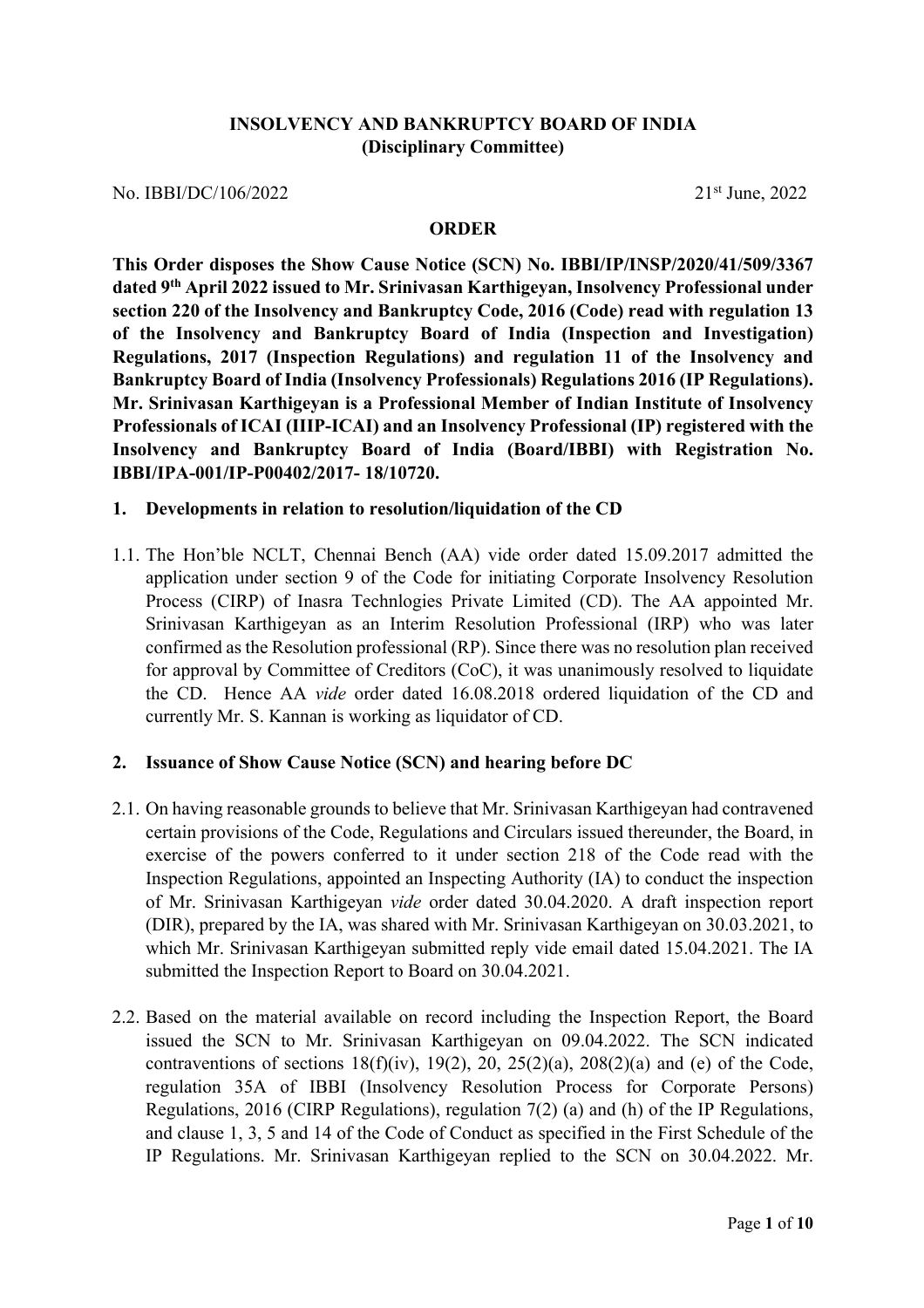## **INSOLVENCY AND BANKRUPTCY BOARD OF INDIA (Disciplinary Committee)**

No. IBBI/DC/106/2022 21st June, 2022

#### **ORDER**

**This Order disposes the Show Cause Notice (SCN) No. IBBI/IP/INSP/2020/41/509/3367 dated 9th April 2022 issued to Mr. Srinivasan Karthigeyan, Insolvency Professional under section 220 of the Insolvency and Bankruptcy Code, 2016 (Code) read with regulation 13 of the Insolvency and Bankruptcy Board of India (Inspection and Investigation) Regulations, 2017 (Inspection Regulations) and regulation 11 of the Insolvency and Bankruptcy Board of India (Insolvency Professionals) Regulations 2016 (IP Regulations). Mr. Srinivasan Karthigeyan is a Professional Member of Indian Institute of Insolvency Professionals of ICAI (IIIP-ICAI) and an Insolvency Professional (IP) registered with the Insolvency and Bankruptcy Board of India (Board/IBBI) with Registration No. IBBI/IPA-001/IP-P00402/2017- 18/10720.** 

#### **1. Developments in relation to resolution/liquidation of the CD**

1.1. The Hon'ble NCLT, Chennai Bench (AA) vide order dated 15.09.2017 admitted the application under section 9 of the Code for initiating Corporate Insolvency Resolution Process (CIRP) of Inasra Technlogies Private Limited (CD). The AA appointed Mr. Srinivasan Karthigeyan as an Interim Resolution Professional (IRP) who was later confirmed as the Resolution professional (RP). Since there was no resolution plan received for approval by Committee of Creditors (CoC), it was unanimously resolved to liquidate the CD. Hence AA *vide* order dated 16.08.2018 ordered liquidation of the CD and currently Mr. S. Kannan is working as liquidator of CD.

### **2. Issuance of Show Cause Notice (SCN) and hearing before DC**

- 2.1. On having reasonable grounds to believe that Mr. Srinivasan Karthigeyan had contravened certain provisions of the Code, Regulations and Circulars issued thereunder, the Board, in exercise of the powers conferred to it under section 218 of the Code read with the Inspection Regulations, appointed an Inspecting Authority (IA) to conduct the inspection of Mr. Srinivasan Karthigeyan *vide* order dated 30.04.2020. A draft inspection report (DIR), prepared by the IA, was shared with Mr. Srinivasan Karthigeyan on 30.03.2021, to which Mr. Srinivasan Karthigeyan submitted reply vide email dated 15.04.2021. The IA submitted the Inspection Report to Board on 30.04.2021.
- 2.2. Based on the material available on record including the Inspection Report, the Board issued the SCN to Mr. Srinivasan Karthigeyan on 09.04.2022. The SCN indicated contraventions of sections  $18(f)(iv)$ ,  $19(2)$ ,  $20$ ,  $25(2)(a)$ ,  $208(2)(a)$  and (e) of the Code, regulation 35A of IBBI (Insolvency Resolution Process for Corporate Persons) Regulations, 2016 (CIRP Regulations), regulation 7(2) (a) and (h) of the IP Regulations, and clause 1, 3, 5 and 14 of the Code of Conduct as specified in the First Schedule of the IP Regulations. Mr. Srinivasan Karthigeyan replied to the SCN on 30.04.2022. Mr.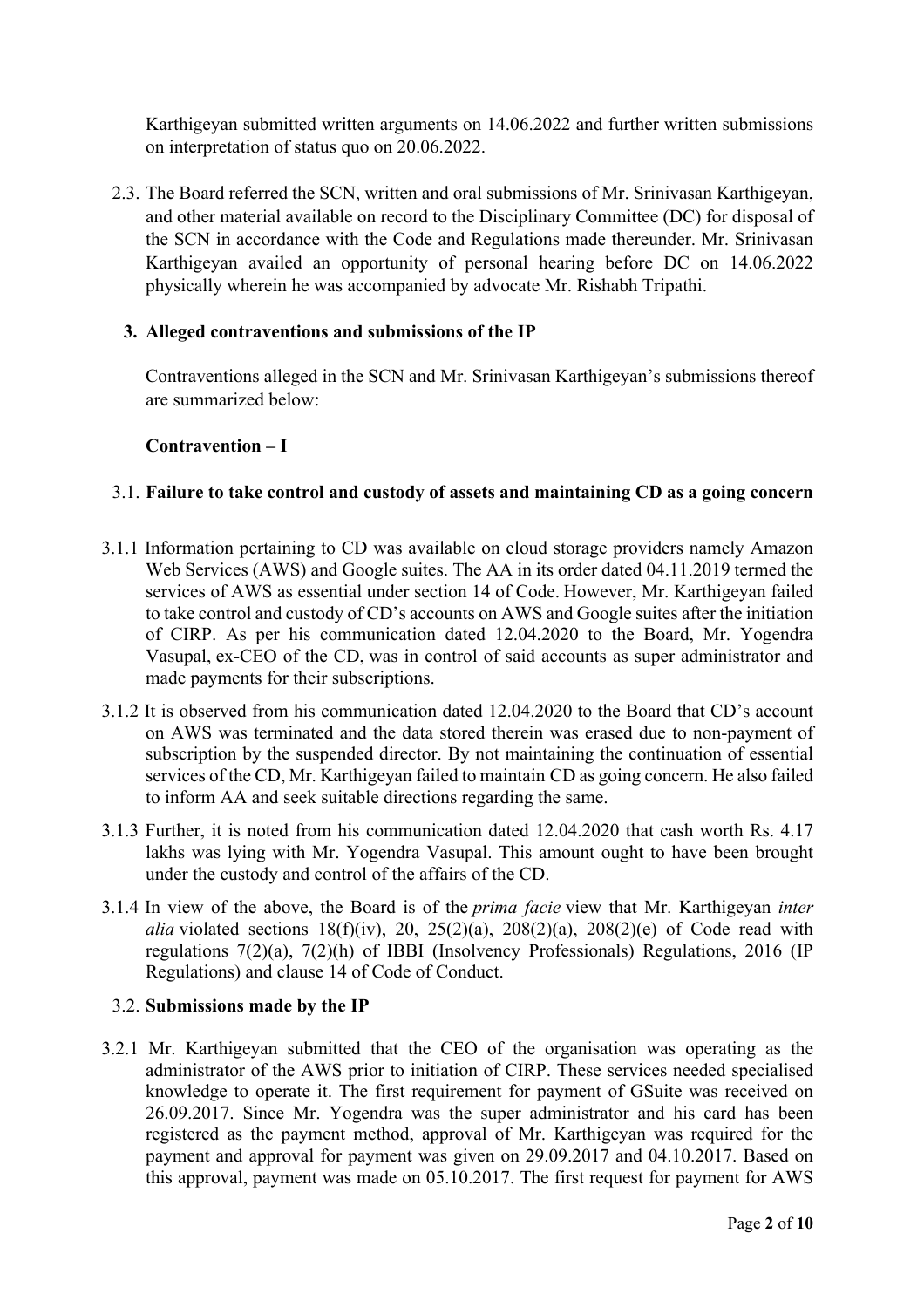Karthigeyan submitted written arguments on 14.06.2022 and further written submissions on interpretation of status quo on 20.06.2022.

2.3. The Board referred the SCN, written and oral submissions of Mr. Srinivasan Karthigeyan, and other material available on record to the Disciplinary Committee (DC) for disposal of the SCN in accordance with the Code and Regulations made thereunder. Mr. Srinivasan Karthigeyan availed an opportunity of personal hearing before DC on 14.06.2022 physically wherein he was accompanied by advocate Mr. Rishabh Tripathi.

### **3. Alleged contraventions and submissions of the IP**

Contraventions alleged in the SCN and Mr. Srinivasan Karthigeyan's submissions thereof are summarized below:

### **Contravention – I**

### 3.1. **Failure to take control and custody of assets and maintaining CD as a going concern**

- 3.1.1 Information pertaining to CD was available on cloud storage providers namely Amazon Web Services (AWS) and Google suites. The AA in its order dated 04.11.2019 termed the services of AWS as essential under section 14 of Code. However, Mr. Karthigeyan failed to take control and custody of CD's accounts on AWS and Google suites after the initiation of CIRP. As per his communication dated 12.04.2020 to the Board, Mr. Yogendra Vasupal, ex-CEO of the CD, was in control of said accounts as super administrator and made payments for their subscriptions.
- 3.1.2 It is observed from his communication dated 12.04.2020 to the Board that CD's account on AWS was terminated and the data stored therein was erased due to non-payment of subscription by the suspended director. By not maintaining the continuation of essential services of the CD, Mr. Karthigeyan failed to maintain CD as going concern. He also failed to inform AA and seek suitable directions regarding the same.
- 3.1.3 Further, it is noted from his communication dated 12.04.2020 that cash worth Rs. 4.17 lakhs was lying with Mr. Yogendra Vasupal. This amount ought to have been brought under the custody and control of the affairs of the CD.
- 3.1.4 In view of the above, the Board is of the *prima facie* view that Mr. Karthigeyan *inter alia* violated sections  $18(f)(iv)$ , 20, 25(2)(a), 208(2)(a), 208(2)(e) of Code read with regulations 7(2)(a), 7(2)(h) of IBBI (Insolvency Professionals) Regulations, 2016 (IP Regulations) and clause 14 of Code of Conduct.

### 3.2. **Submissions made by the IP**

3.2.1 Mr. Karthigeyan submitted that the CEO of the organisation was operating as the administrator of the AWS prior to initiation of CIRP. These services needed specialised knowledge to operate it. The first requirement for payment of GSuite was received on 26.09.2017. Since Mr. Yogendra was the super administrator and his card has been registered as the payment method, approval of Mr. Karthigeyan was required for the payment and approval for payment was given on 29.09.2017 and 04.10.2017. Based on this approval, payment was made on 05.10.2017. The first request for payment for AWS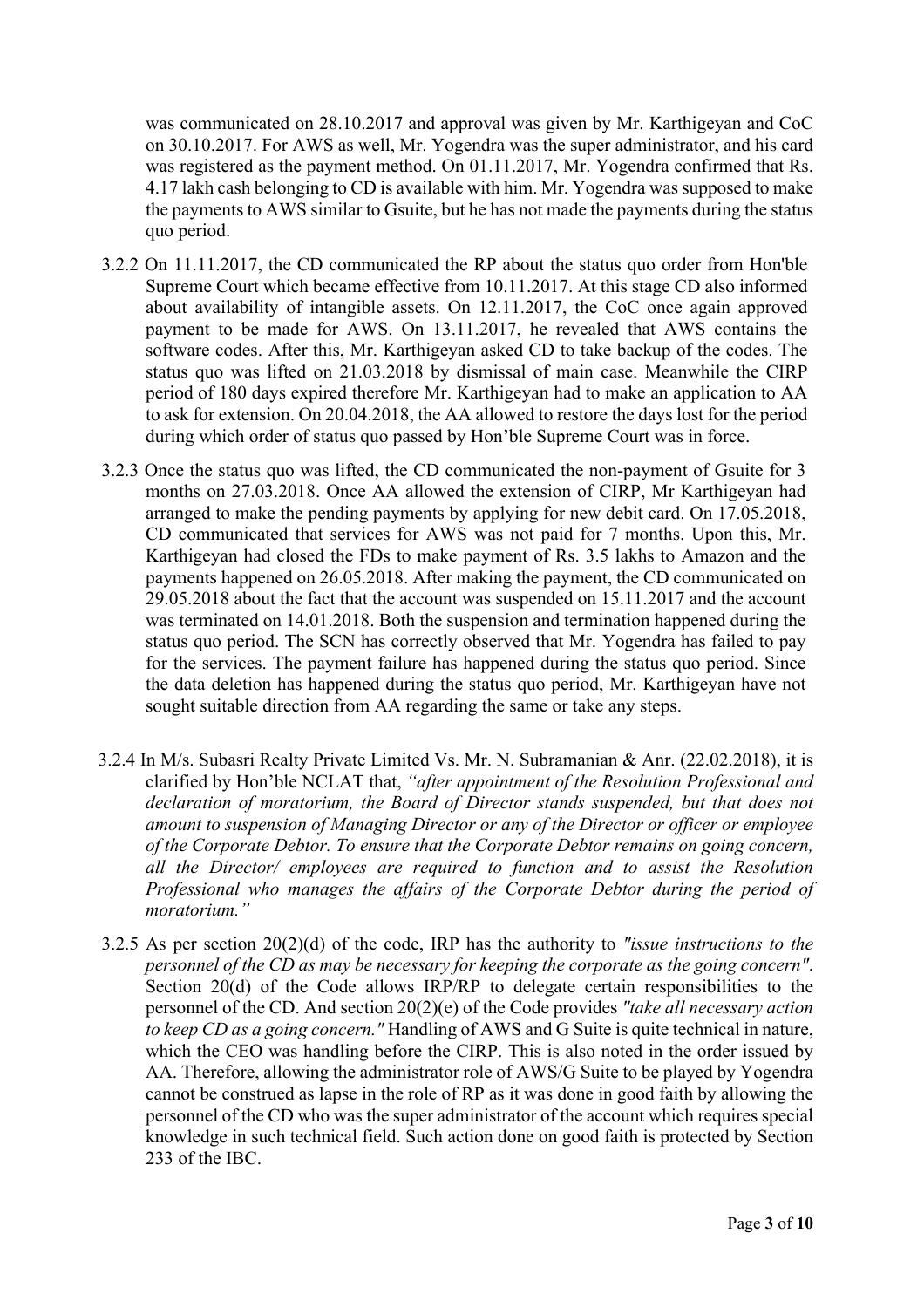was communicated on 28.10.2017 and approval was given by Mr. Karthigeyan and CoC on 30.10.2017. For AWS as well, Mr. Yogendra was the super administrator, and his card was registered as the payment method. On 01.11.2017, Mr. Yogendra confirmed that Rs. 4.17 lakh cash belonging to CD is available with him. Mr. Yogendra was supposed to make the payments to AWS similar to Gsuite, but he has not made the payments during the status quo period.

- 3.2.2 On 11.11.2017, the CD communicated the RP about the status quo order from Hon'ble Supreme Court which became effective from 10.11.2017. At this stage CD also informed about availability of intangible assets. On 12.11.2017, the CoC once again approved payment to be made for AWS. On 13.11.2017, he revealed that AWS contains the software codes. After this, Mr. Karthigeyan asked CD to take backup of the codes. The status quo was lifted on 21.03.2018 by dismissal of main case. Meanwhile the CIRP period of 180 days expired therefore Mr. Karthigeyan had to make an application to AA to ask for extension. On 20.04.2018, the AA allowed to restore the days lost for the period during which order of status quo passed by Hon'ble Supreme Court was in force.
- 3.2.3 Once the status quo was lifted, the CD communicated the non-payment of Gsuite for 3 months on 27.03.2018. Once AA allowed the extension of CIRP, Mr Karthigeyan had arranged to make the pending payments by applying for new debit card. On 17.05.2018, CD communicated that services for AWS was not paid for 7 months. Upon this, Mr. Karthigeyan had closed the FDs to make payment of Rs. 3.5 lakhs to Amazon and the payments happened on 26.05.2018. After making the payment, the CD communicated on 29.05.2018 about the fact that the account was suspended on 15.11.2017 and the account was terminated on 14.01.2018. Both the suspension and termination happened during the status quo period. The SCN has correctly observed that Mr. Yogendra has failed to pay for the services. The payment failure has happened during the status quo period. Since the data deletion has happened during the status quo period, Mr. Karthigeyan have not sought suitable direction from AA regarding the same or take any steps.
- 3.2.4 In M/s. Subasri Realty Private Limited Vs. Mr. N. Subramanian & Anr. (22.02.2018), it is clarified by Hon'ble NCLAT that, *"after appointment of the Resolution Professional and declaration of moratorium, the Board of Director stands suspended, but that does not amount to suspension of Managing Director or any of the Director or officer or employee of the Corporate Debtor. To ensure that the Corporate Debtor remains on going concern, all the Director/ employees are required to function and to assist the Resolution Professional who manages the affairs of the Corporate Debtor during the period of moratorium."*
- 3.2.5 As per section 20(2)(d) of the code, IRP has the authority to *"issue instructions to the personnel of the CD as may be necessary for keeping the corporate as the going concern"*. Section 20(d) of the Code allows IRP/RP to delegate certain responsibilities to the personnel of the CD. And section 20(2)(e) of the Code provides *"take all necessary action to keep CD as a going concern."* Handling of AWS and G Suite is quite technical in nature, which the CEO was handling before the CIRP. This is also noted in the order issued by AA. Therefore, allowing the administrator role of AWS/G Suite to be played by Yogendra cannot be construed as lapse in the role of RP as it was done in good faith by allowing the personnel of the CD who was the super administrator of the account which requires special knowledge in such technical field. Such action done on good faith is protected by Section 233 of the IBC.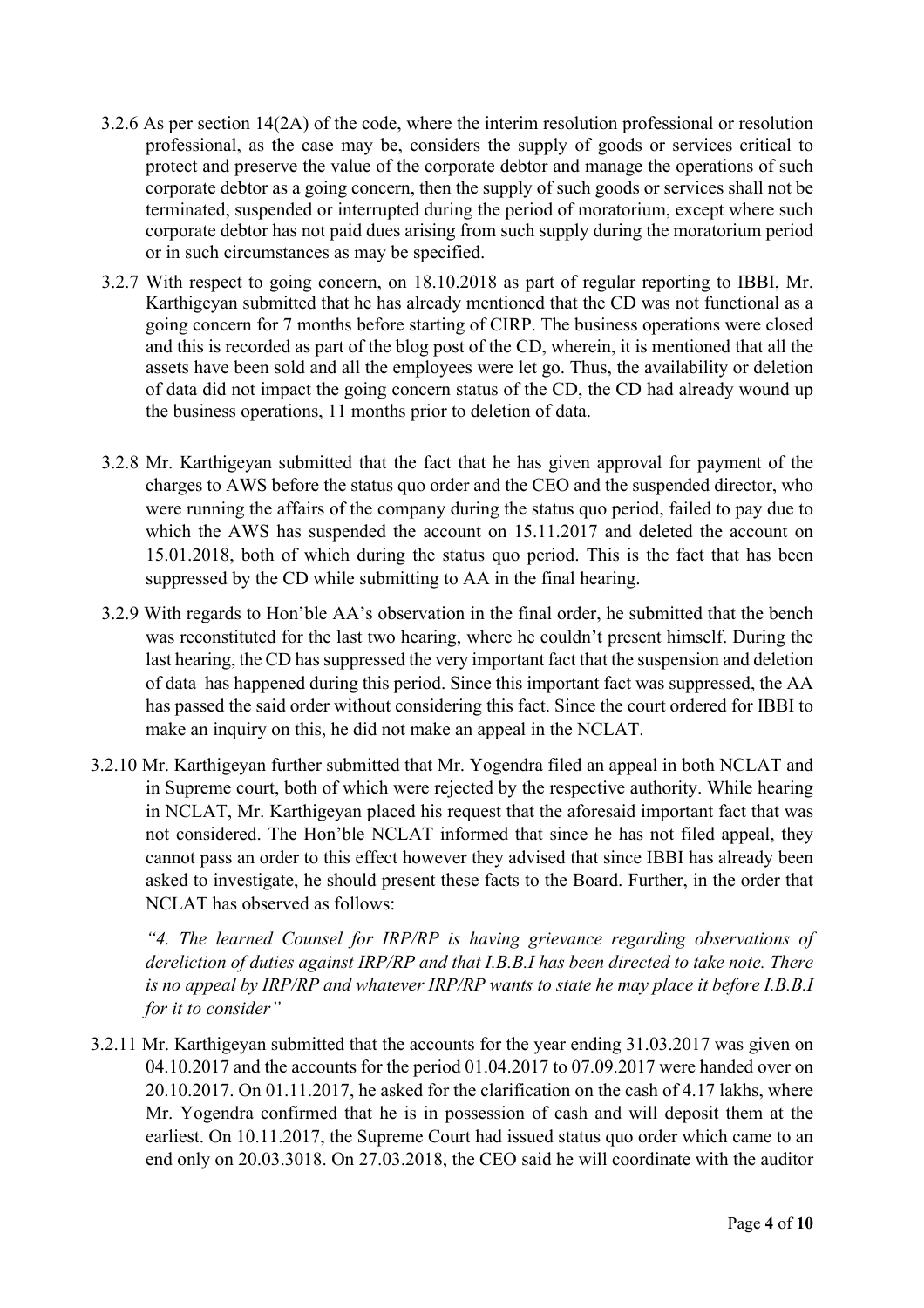- 3.2.6 As per section 14(2A) of the code, where the interim resolution professional or resolution professional, as the case may be, considers the supply of goods or services critical to protect and preserve the value of the corporate debtor and manage the operations of such corporate debtor as a going concern, then the supply of such goods or services shall not be terminated, suspended or interrupted during the period of moratorium, except where such corporate debtor has not paid dues arising from such supply during the moratorium period or in such circumstances as may be specified.
- 3.2.7 With respect to going concern, on 18.10.2018 as part of regular reporting to IBBI, Mr. Karthigeyan submitted that he has already mentioned that the CD was not functional as a going concern for 7 months before starting of CIRP. The business operations were closed and this is recorded as part of the blog post of the CD, wherein, it is mentioned that all the assets have been sold and all the employees were let go. Thus, the availability or deletion of data did not impact the going concern status of the CD, the CD had already wound up the business operations, 11 months prior to deletion of data.
- 3.2.8 Mr. Karthigeyan submitted that the fact that he has given approval for payment of the charges to AWS before the status quo order and the CEO and the suspended director, who were running the affairs of the company during the status quo period, failed to pay due to which the AWS has suspended the account on 15.11.2017 and deleted the account on 15.01.2018, both of which during the status quo period. This is the fact that has been suppressed by the CD while submitting to AA in the final hearing.
- 3.2.9 With regards to Hon'ble AA's observation in the final order, he submitted that the bench was reconstituted for the last two hearing, where he couldn't present himself. During the last hearing, the CD has suppressed the very important fact that the suspension and deletion of data has happened during this period. Since this important fact was suppressed, the AA has passed the said order without considering this fact. Since the court ordered for IBBI to make an inquiry on this, he did not make an appeal in the NCLAT.
- 3.2.10 Mr. Karthigeyan further submitted that Mr. Yogendra filed an appeal in both NCLAT and in Supreme court, both of which were rejected by the respective authority. While hearing in NCLAT, Mr. Karthigeyan placed his request that the aforesaid important fact that was not considered. The Hon'ble NCLAT informed that since he has not filed appeal, they cannot pass an order to this effect however they advised that since IBBI has already been asked to investigate, he should present these facts to the Board. Further, in the order that NCLAT has observed as follows:

*"4. The learned Counsel for IRP/RP is having grievance regarding observations of dereliction of duties against IRP/RP and that I.B.B.I has been directed to take note. There is no appeal by IRP/RP and whatever IRP/RP wants to state he may place it before I.B.B.I for it to consider"*

3.2.11 Mr. Karthigeyan submitted that the accounts for the year ending 31.03.2017 was given on 04.10.2017 and the accounts for the period 01.04.2017 to 07.09.2017 were handed over on 20.10.2017. On 01.11.2017, he asked for the clarification on the cash of 4.17 lakhs, where Mr. Yogendra confirmed that he is in possession of cash and will deposit them at the earliest. On 10.11.2017, the Supreme Court had issued status quo order which came to an end only on 20.03.3018. On 27.03.2018, the CEO said he will coordinate with the auditor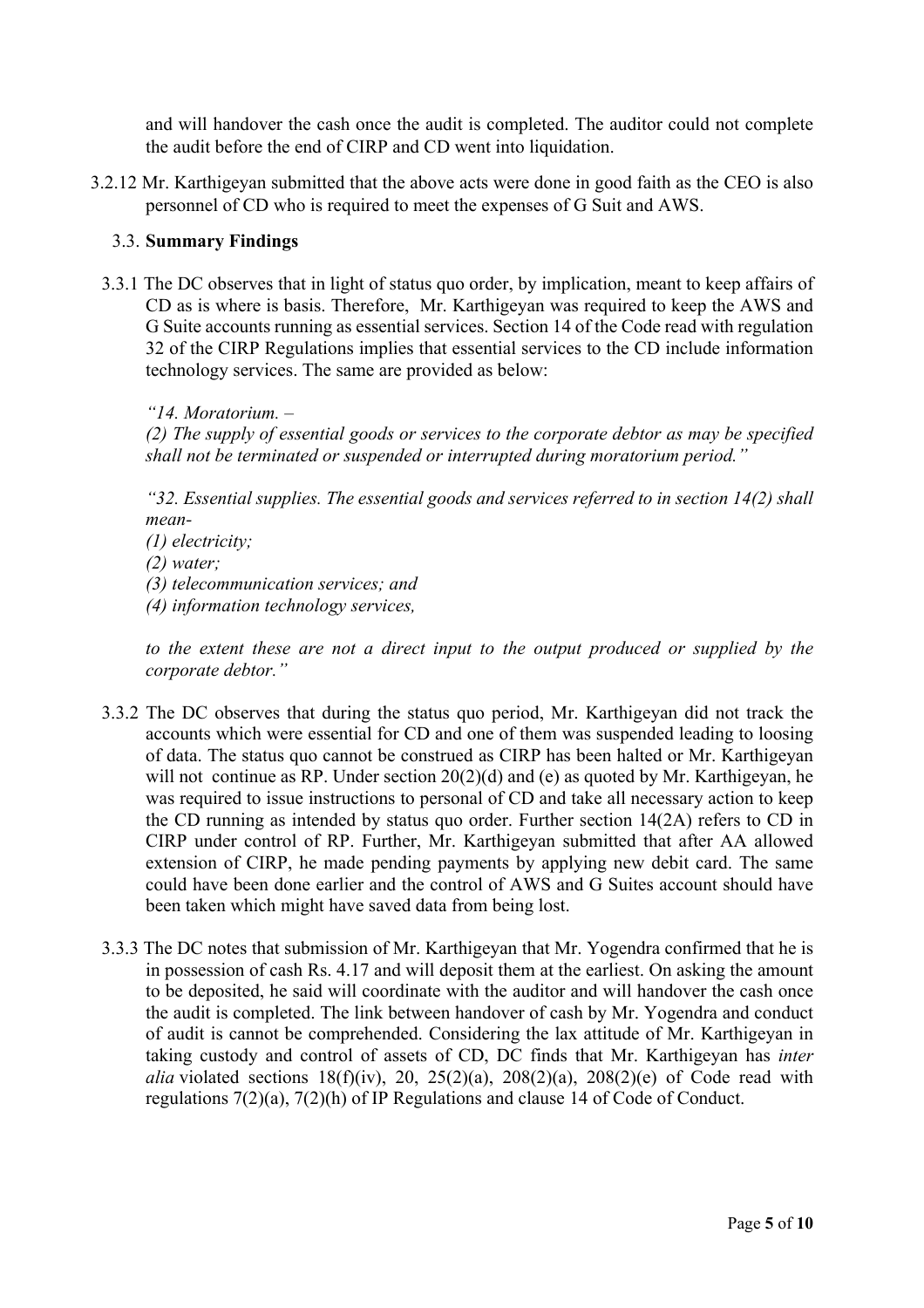and will handover the cash once the audit is completed. The auditor could not complete the audit before the end of CIRP and CD went into liquidation.

3.2.12 Mr. Karthigeyan submitted that the above acts were done in good faith as the CEO is also personnel of CD who is required to meet the expenses of G Suit and AWS.

## 3.3. **Summary Findings**

3.3.1 The DC observes that in light of status quo order, by implication, meant to keep affairs of CD as is where is basis. Therefore, Mr. Karthigeyan was required to keep the AWS and G Suite accounts running as essential services. Section 14 of the Code read with regulation 32 of the CIRP Regulations implies that essential services to the CD include information technology services. The same are provided as below:

*"14. Moratorium. –*

*(2) The supply of essential goods or services to the corporate debtor as may be specified shall not be terminated or suspended or interrupted during moratorium period."*

*"32. Essential supplies. The essential goods and services referred to in section 14(2) shall mean-*

*(1) electricity;* 

*(2) water;* 

*(3) telecommunication services; and* 

*(4) information technology services,* 

*to the extent these are not a direct input to the output produced or supplied by the corporate debtor."*

- 3.3.2 The DC observes that during the status quo period, Mr. Karthigeyan did not track the accounts which were essential for CD and one of them was suspended leading to loosing of data. The status quo cannot be construed as CIRP has been halted or Mr. Karthigeyan will not continue as RP. Under section 20(2)(d) and (e) as quoted by Mr. Karthigeyan, he was required to issue instructions to personal of CD and take all necessary action to keep the CD running as intended by status quo order. Further section 14(2A) refers to CD in CIRP under control of RP. Further, Mr. Karthigeyan submitted that after AA allowed extension of CIRP, he made pending payments by applying new debit card. The same could have been done earlier and the control of AWS and G Suites account should have been taken which might have saved data from being lost.
- 3.3.3 The DC notes that submission of Mr. Karthigeyan that Mr. Yogendra confirmed that he is in possession of cash Rs. 4.17 and will deposit them at the earliest. On asking the amount to be deposited, he said will coordinate with the auditor and will handover the cash once the audit is completed. The link between handover of cash by Mr. Yogendra and conduct of audit is cannot be comprehended. Considering the lax attitude of Mr. Karthigeyan in taking custody and control of assets of CD, DC finds that Mr. Karthigeyan has *inter alia* violated sections  $18(f)(iv)$ , 20,  $25(2)(a)$ ,  $208(2)(a)$ ,  $208(2)(e)$  of Code read with regulations 7(2)(a), 7(2)(h) of IP Regulations and clause 14 of Code of Conduct.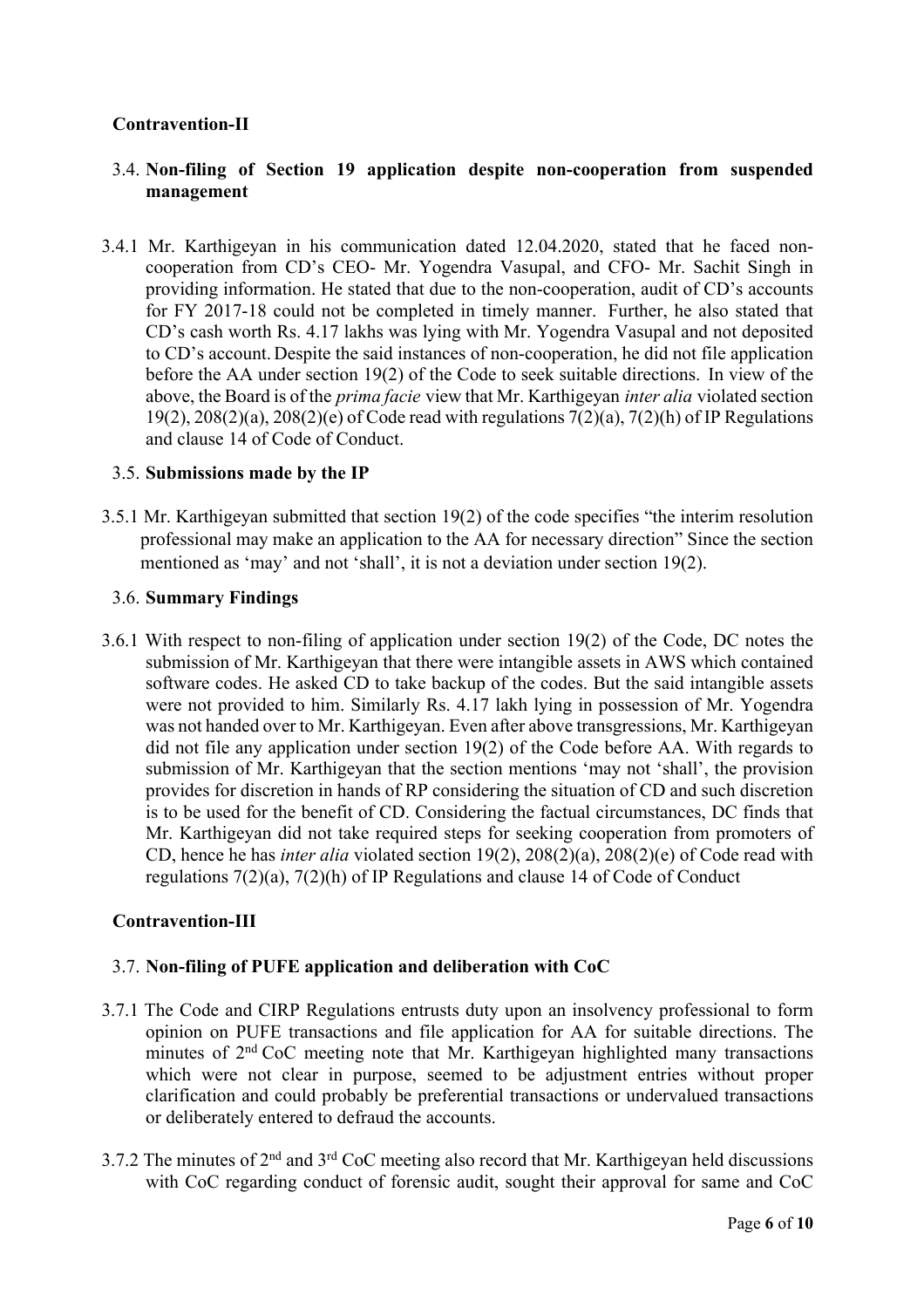# **Contravention-II**

## 3.4. **Non-filing of Section 19 application despite non-cooperation from suspended management**

3.4.1 Mr. Karthigeyan in his communication dated 12.04.2020, stated that he faced noncooperation from CD's CEO- Mr. Yogendra Vasupal, and CFO- Mr. Sachit Singh in providing information. He stated that due to the non-cooperation, audit of CD's accounts for FY 2017-18 could not be completed in timely manner. Further, he also stated that CD's cash worth Rs. 4.17 lakhs was lying with Mr. Yogendra Vasupal and not deposited to CD's account. Despite the said instances of non-cooperation, he did not file application before the AA under section 19(2) of the Code to seek suitable directions. In view of the above, the Board is of the *prima facie* view that Mr. Karthigeyan *inter alia* violated section 19(2),  $208(2)(a)$ ,  $208(2)(e)$  of Code read with regulations  $7(2)(a)$ ,  $7(2)(h)$  of IP Regulations and clause 14 of Code of Conduct.

### 3.5. **Submissions made by the IP**

3.5.1 Mr. Karthigeyan submitted that section 19(2) of the code specifies "the interim resolution professional may make an application to the AA for necessary direction" Since the section mentioned as 'may' and not 'shall', it is not a deviation under section 19(2).

### 3.6. **Summary Findings**

3.6.1 With respect to non-filing of application under section 19(2) of the Code, DC notes the submission of Mr. Karthigeyan that there were intangible assets in AWS which contained software codes. He asked CD to take backup of the codes. But the said intangible assets were not provided to him. Similarly Rs. 4.17 lakh lying in possession of Mr. Yogendra was not handed over to Mr. Karthigeyan. Even after above transgressions, Mr. Karthigeyan did not file any application under section 19(2) of the Code before AA. With regards to submission of Mr. Karthigeyan that the section mentions 'may not 'shall', the provision provides for discretion in hands of RP considering the situation of CD and such discretion is to be used for the benefit of CD. Considering the factual circumstances, DC finds that Mr. Karthigeyan did not take required steps for seeking cooperation from promoters of CD, hence he has *inter alia* violated section 19(2), 208(2)(a), 208(2)(e) of Code read with regulations 7(2)(a), 7(2)(h) of IP Regulations and clause 14 of Code of Conduct

### **Contravention-III**

### 3.7. **Non-filing of PUFE application and deliberation with CoC**

- 3.7.1 The Code and CIRP Regulations entrusts duty upon an insolvency professional to form opinion on PUFE transactions and file application for AA for suitable directions. The minutes of  $2<sup>nd</sup> CoC$  meeting note that Mr. Karthigeyan highlighted many transactions which were not clear in purpose, seemed to be adjustment entries without proper clarification and could probably be preferential transactions or undervalued transactions or deliberately entered to defraud the accounts.
- 3.7.2 The minutes of  $2<sup>nd</sup>$  and  $3<sup>rd</sup>$  CoC meeting also record that Mr. Karthigeyan held discussions with CoC regarding conduct of forensic audit, sought their approval for same and CoC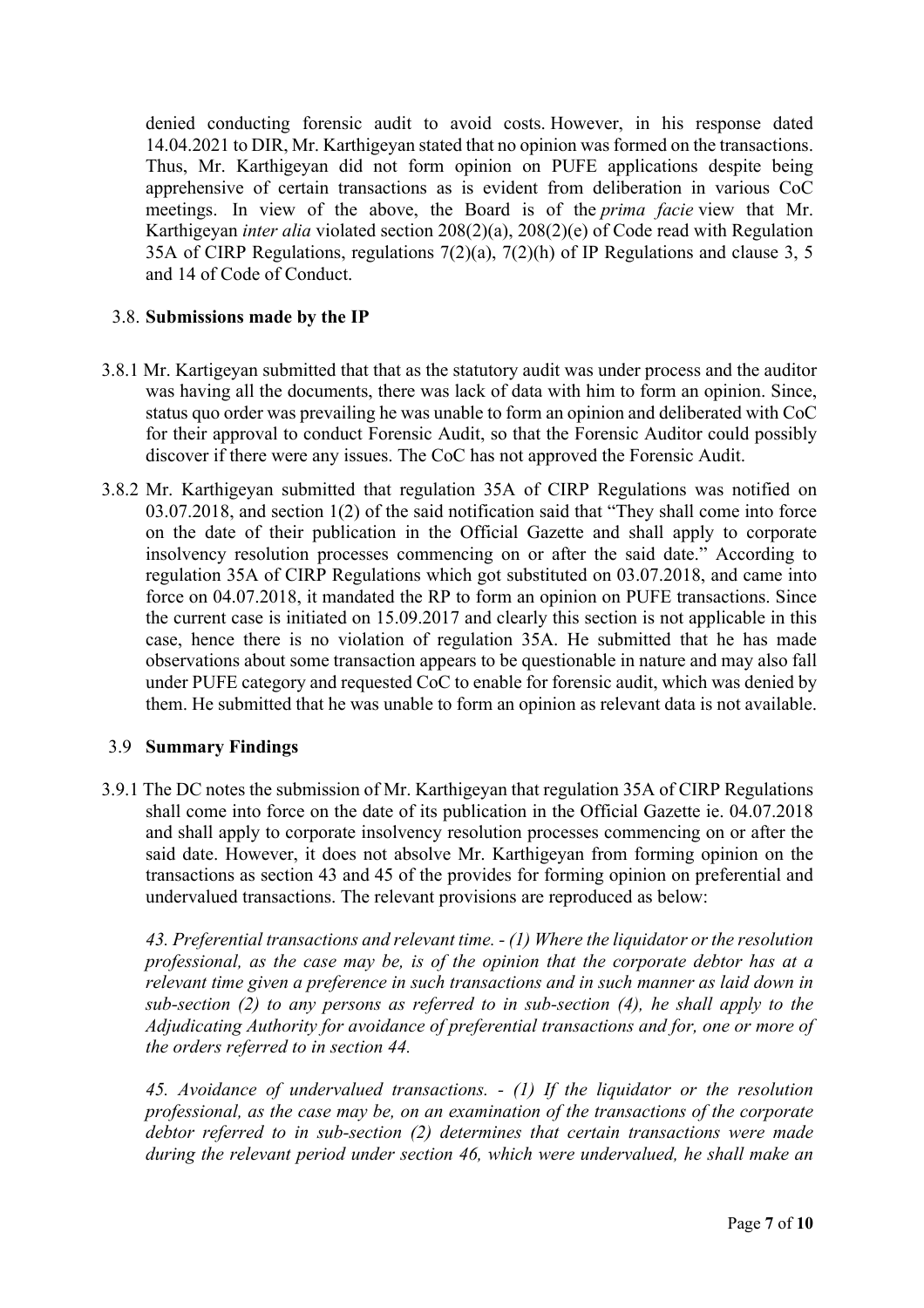denied conducting forensic audit to avoid costs. However, in his response dated 14.04.2021 to DIR, Mr. Karthigeyan stated that no opinion was formed on the transactions. Thus, Mr. Karthigeyan did not form opinion on PUFE applications despite being apprehensive of certain transactions as is evident from deliberation in various CoC meetings. In view of the above, the Board is of the *prima facie* view that Mr. Karthigeyan *inter alia* violated section 208(2)(a), 208(2)(e) of Code read with Regulation 35A of CIRP Regulations, regulations 7(2)(a), 7(2)(h) of IP Regulations and clause 3, 5 and 14 of Code of Conduct.

## 3.8. **Submissions made by the IP**

- 3.8.1 Mr. Kartigeyan submitted that that as the statutory audit was under process and the auditor was having all the documents, there was lack of data with him to form an opinion. Since, status quo order was prevailing he was unable to form an opinion and deliberated with CoC for their approval to conduct Forensic Audit, so that the Forensic Auditor could possibly discover if there were any issues. The CoC has not approved the Forensic Audit.
- 3.8.2 Mr. Karthigeyan submitted that regulation 35A of CIRP Regulations was notified on 03.07.2018, and section 1(2) of the said notification said that "They shall come into force on the date of their publication in the Official Gazette and shall apply to corporate insolvency resolution processes commencing on or after the said date." According to regulation 35A of CIRP Regulations which got substituted on 03.07.2018, and came into force on 04.07.2018, it mandated the RP to form an opinion on PUFE transactions. Since the current case is initiated on 15.09.2017 and clearly this section is not applicable in this case, hence there is no violation of regulation 35A. He submitted that he has made observations about some transaction appears to be questionable in nature and may also fall under PUFE category and requested CoC to enable for forensic audit, which was denied by them. He submitted that he was unable to form an opinion as relevant data is not available.

### 3.9 **Summary Findings**

3.9.1 The DC notes the submission of Mr. Karthigeyan that regulation 35A of CIRP Regulations shall come into force on the date of its publication in the Official Gazette ie. 04.07.2018 and shall apply to corporate insolvency resolution processes commencing on or after the said date. However, it does not absolve Mr. Karthigeyan from forming opinion on the transactions as section 43 and 45 of the provides for forming opinion on preferential and undervalued transactions. The relevant provisions are reproduced as below:

*43. Preferential transactions and relevant time. - (1) Where the liquidator or the resolution professional, as the case may be, is of the opinion that the corporate debtor has at a relevant time given a preference in such transactions and in such manner as laid down in sub-section (2) to any persons as referred to in sub-section (4), he shall apply to the Adjudicating Authority for avoidance of preferential transactions and for, one or more of the orders referred to in section 44.*

*45. Avoidance of undervalued transactions. - (1) If the liquidator or the resolution professional, as the case may be, on an examination of the transactions of the corporate debtor referred to in sub-section (2) determines that certain transactions were made during the relevant period under section 46, which were undervalued, he shall make an*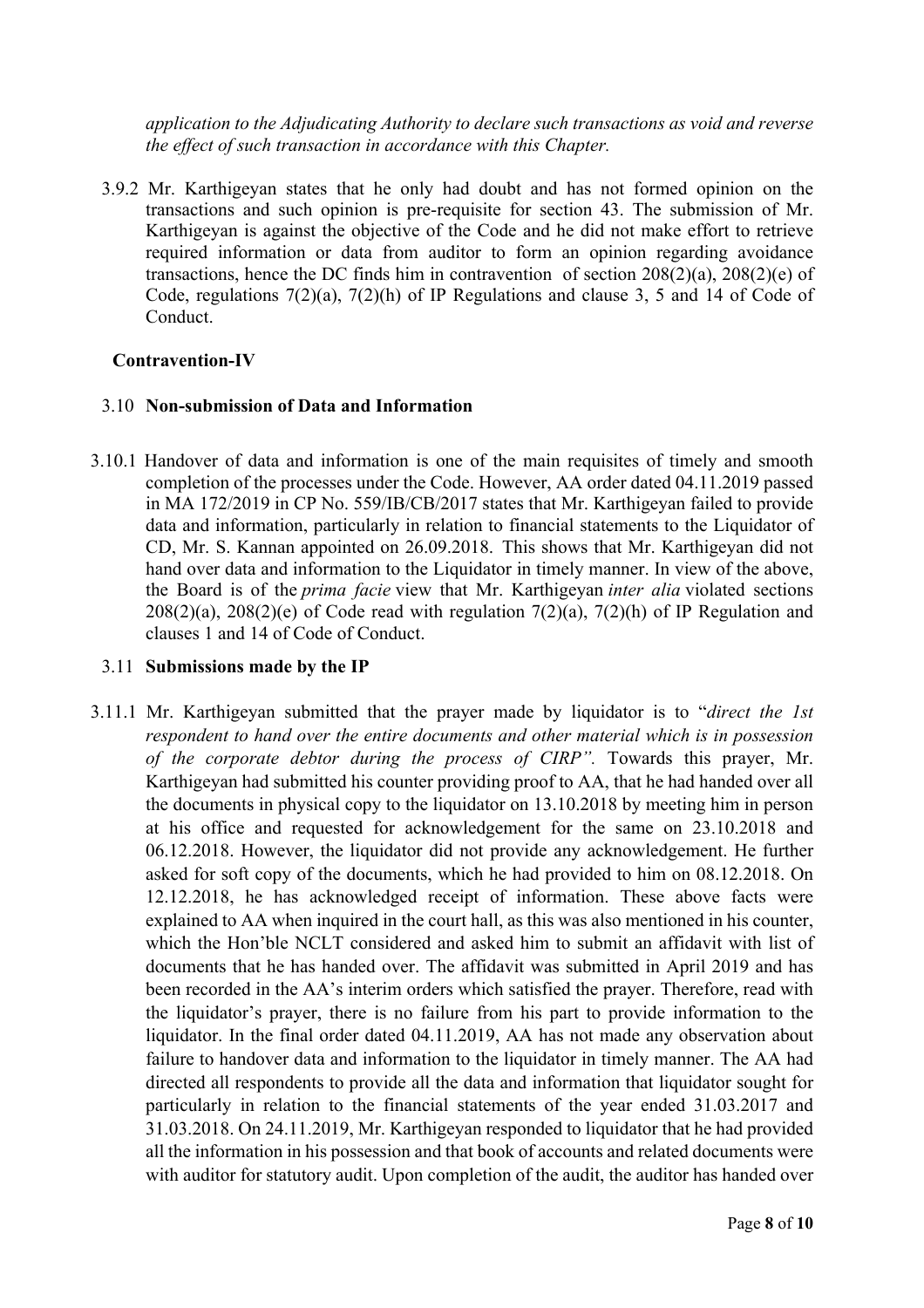*application to the Adjudicating Authority to declare such transactions as void and reverse the effect of such transaction in accordance with this Chapter.*

3.9.2 Mr. Karthigeyan states that he only had doubt and has not formed opinion on the transactions and such opinion is pre-requisite for section 43. The submission of Mr. Karthigeyan is against the objective of the Code and he did not make effort to retrieve required information or data from auditor to form an opinion regarding avoidance transactions, hence the DC finds him in contravention of section 208(2)(a), 208(2)(e) of Code, regulations 7(2)(a), 7(2)(h) of IP Regulations and clause 3, 5 and 14 of Code of Conduct.

#### **Contravention-IV**

#### 3.10 **Non-submission of Data and Information**

3.10.1 Handover of data and information is one of the main requisites of timely and smooth completion of the processes under the Code. However, AA order dated 04.11.2019 passed in MA 172/2019 in CP No. 559/IB/CB/2017 states that Mr. Karthigeyan failed to provide data and information, particularly in relation to financial statements to the Liquidator of CD, Mr. S. Kannan appointed on 26.09.2018. This shows that Mr. Karthigeyan did not hand over data and information to the Liquidator in timely manner. In view of the above, the Board is of the *prima facie* view that Mr. Karthigeyan *inter alia* violated sections  $208(2)(a)$ ,  $208(2)(e)$  of Code read with regulation  $7(2)(a)$ ,  $7(2)(h)$  of IP Regulation and clauses 1 and 14 of Code of Conduct.

#### 3.11 **Submissions made by the IP**

3.11.1 Mr. Karthigeyan submitted that the prayer made by liquidator is to "*direct the 1st respondent to hand over the entire documents and other material which is in possession of the corporate debtor during the process of CIRP".* Towards this prayer, Mr. Karthigeyan had submitted his counter providing proof to AA, that he had handed over all the documents in physical copy to the liquidator on 13.10.2018 by meeting him in person at his office and requested for acknowledgement for the same on 23.10.2018 and 06.12.2018. However, the liquidator did not provide any acknowledgement. He further asked for soft copy of the documents, which he had provided to him on 08.12.2018. On 12.12.2018, he has acknowledged receipt of information. These above facts were explained to AA when inquired in the court hall, as this was also mentioned in his counter, which the Hon'ble NCLT considered and asked him to submit an affidavit with list of documents that he has handed over. The affidavit was submitted in April 2019 and has been recorded in the AA's interim orders which satisfied the prayer. Therefore, read with the liquidator's prayer, there is no failure from his part to provide information to the liquidator. In the final order dated 04.11.2019, AA has not made any observation about failure to handover data and information to the liquidator in timely manner. The AA had directed all respondents to provide all the data and information that liquidator sought for particularly in relation to the financial statements of the year ended 31.03.2017 and 31.03.2018. On 24.11.2019, Mr. Karthigeyan responded to liquidator that he had provided all the information in his possession and that book of accounts and related documents were with auditor for statutory audit. Upon completion of the audit, the auditor has handed over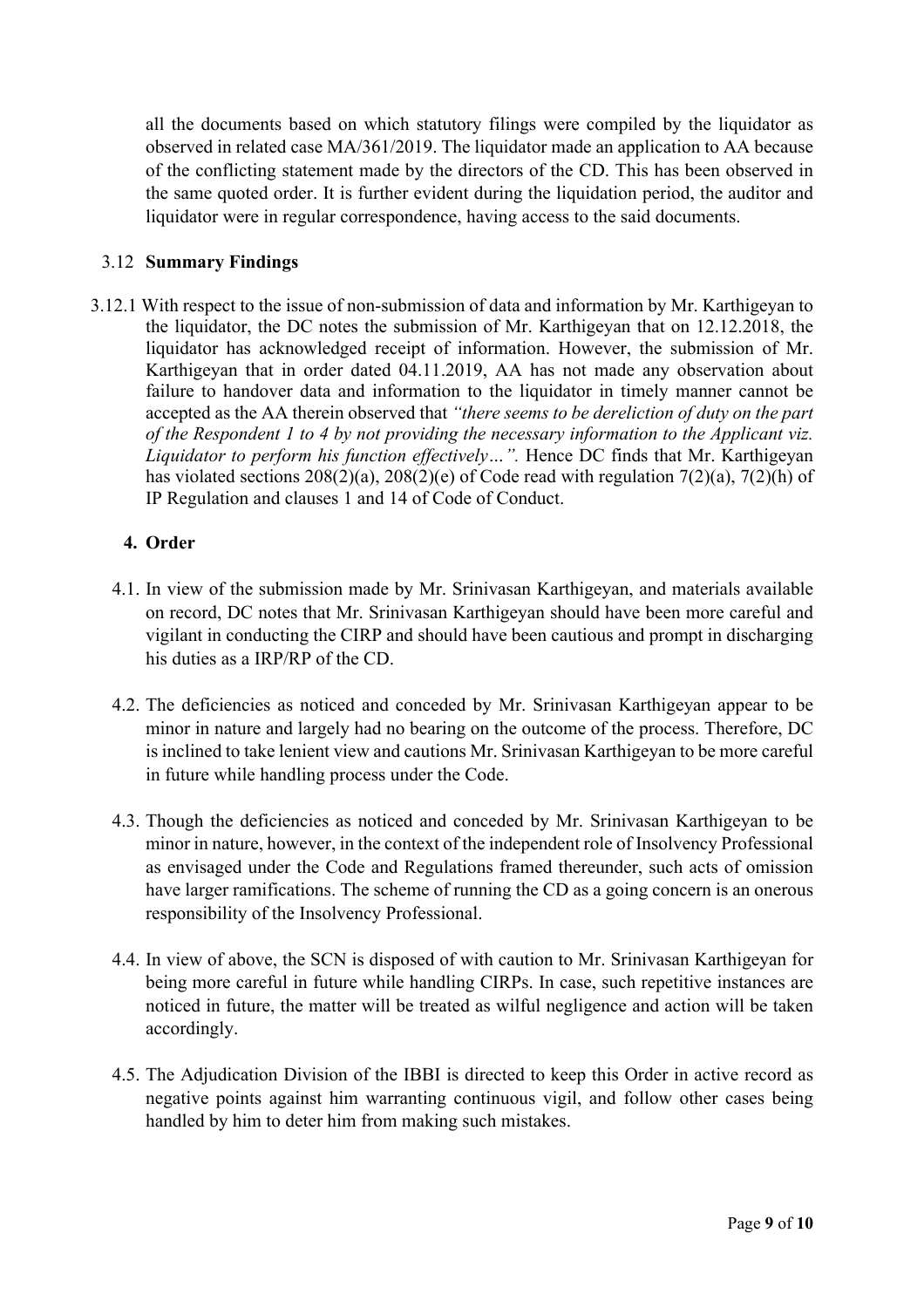all the documents based on which statutory filings were compiled by the liquidator as observed in related case MA/361/2019. The liquidator made an application to AA because of the conflicting statement made by the directors of the CD. This has been observed in the same quoted order. It is further evident during the liquidation period, the auditor and liquidator were in regular correspondence, having access to the said documents.

# 3.12 **Summary Findings**

3.12.1 With respect to the issue of non-submission of data and information by Mr. Karthigeyan to the liquidator, the DC notes the submission of Mr. Karthigeyan that on 12.12.2018, the liquidator has acknowledged receipt of information. However, the submission of Mr. Karthigeyan that in order dated 04.11.2019, AA has not made any observation about failure to handover data and information to the liquidator in timely manner cannot be accepted as the AA therein observed that *"there seems to be dereliction of duty on the part of the Respondent 1 to 4 by not providing the necessary information to the Applicant viz. Liquidator to perform his function effectively...*". Hence DC finds that Mr. Karthigeyan has violated sections 208(2)(a), 208(2)(e) of Code read with regulation 7(2)(a), 7(2)(h) of IP Regulation and clauses 1 and 14 of Code of Conduct.

# **4. Order**

- 4.1. In view of the submission made by Mr. Srinivasan Karthigeyan, and materials available on record, DC notes that Mr. Srinivasan Karthigeyan should have been more careful and vigilant in conducting the CIRP and should have been cautious and prompt in discharging his duties as a IRP/RP of the CD.
- 4.2. The deficiencies as noticed and conceded by Mr. Srinivasan Karthigeyan appear to be minor in nature and largely had no bearing on the outcome of the process. Therefore, DC is inclined to take lenient view and cautions Mr. Srinivasan Karthigeyan to be more careful in future while handling process under the Code.
- 4.3. Though the deficiencies as noticed and conceded by Mr. Srinivasan Karthigeyan to be minor in nature, however, in the context of the independent role of Insolvency Professional as envisaged under the Code and Regulations framed thereunder, such acts of omission have larger ramifications. The scheme of running the CD as a going concern is an onerous responsibility of the Insolvency Professional.
- 4.4. In view of above, the SCN is disposed of with caution to Mr. Srinivasan Karthigeyan for being more careful in future while handling CIRPs. In case, such repetitive instances are noticed in future, the matter will be treated as wilful negligence and action will be taken accordingly.
- 4.5. The Adjudication Division of the IBBI is directed to keep this Order in active record as negative points against him warranting continuous vigil, and follow other cases being handled by him to deter him from making such mistakes.